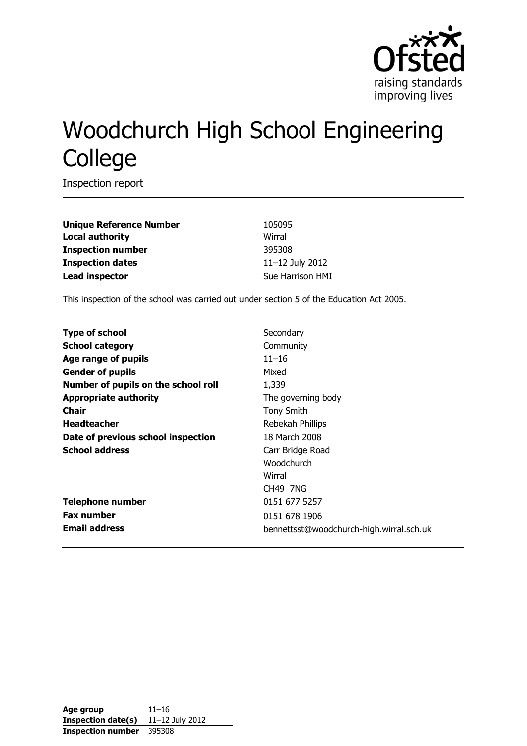

# Woodchurch High School Engineering **College**

Inspection report

| <b>Unique Reference Number</b> | 10509     |
|--------------------------------|-----------|
| <b>Local authority</b>         | Wirral    |
| <b>Inspection number</b>       | 39530     |
| <b>Inspection dates</b>        | $11 - 12$ |
| <b>Lead inspector</b>          | Sue H     |

**Unique Reference Number** 105095 **Inspection number** 395308 **Inspection dates** 11–12 July 2012 **Sue Harrison HMI** 

This inspection of the school was carried out under section 5 of the Education Act 2005.

| <b>Type of school</b>               | Secondary                                |
|-------------------------------------|------------------------------------------|
| <b>School category</b>              | Community                                |
| Age range of pupils                 | $11 - 16$                                |
| <b>Gender of pupils</b>             | Mixed                                    |
| Number of pupils on the school roll | 1,339                                    |
| <b>Appropriate authority</b>        | The governing body                       |
| Chair                               | <b>Tony Smith</b>                        |
| <b>Headteacher</b>                  | Rebekah Phillips                         |
| Date of previous school inspection  | 18 March 2008                            |
| <b>School address</b>               | Carr Bridge Road                         |
|                                     | Woodchurch                               |
|                                     | Wirral                                   |
|                                     | <b>CH49 7NG</b>                          |
| <b>Telephone number</b>             | 0151 677 5257                            |
| <b>Fax number</b>                   | 0151 678 1906                            |
| <b>Email address</b>                | bennettsst@woodchurch-high.wirral.sch.uk |

| Age group                | $11 - 16$       |
|--------------------------|-----------------|
| Inspection date(s)       | 11-12 July 2012 |
| <b>Inspection number</b> | 395308          |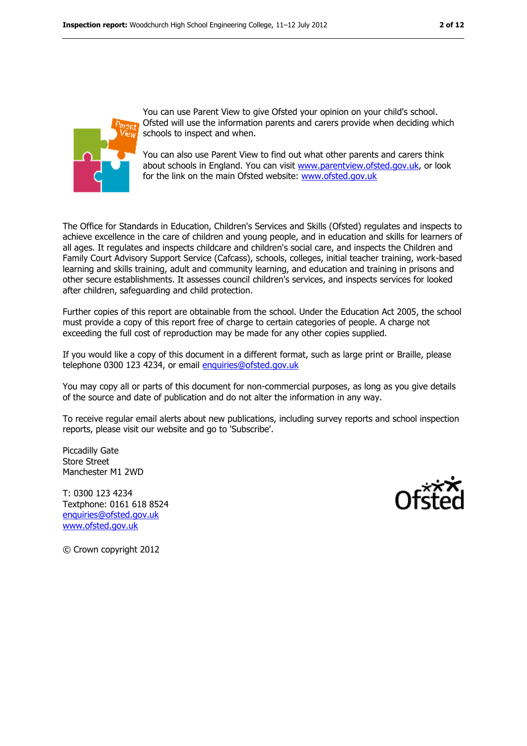

You can use Parent View to give Ofsted your opinion on your child's school. Ofsted will use the information parents and carers provide when deciding which schools to inspect and when.

You can also use Parent View to find out what other parents and carers think about schools in England. You can visit [www.parentview.ofsted.gov.uk,](../../../../../sharrison1/AppData/sharrison1/AppData/Local/Microsoft/Windows/Temporary%20Internet%20Files/Content.IE5/03WRQI06/www.parentview.ofsted.gov.uk) or look for the link on the main Ofsted website: [www.ofsted.gov.uk](../../../../../sharrison1/AppData/sharrison1/AppData/Local/Microsoft/Windows/Temporary%20Internet%20Files/Content.IE5/03WRQI06/www.ofsted.gov.uk)

The Office for Standards in Education, Children's Services and Skills (Ofsted) regulates and inspects to achieve excellence in the care of children and young people, and in education and skills for learners of all ages. It regulates and inspects childcare and children's social care, and inspects the Children and Family Court Advisory Support Service (Cafcass), schools, colleges, initial teacher training, work-based learning and skills training, adult and community learning, and education and training in prisons and other secure establishments. It assesses council children's services, and inspects services for looked after children, safeguarding and child protection.

Further copies of this report are obtainable from the school. Under the Education Act 2005, the school must provide a copy of this report free of charge to certain categories of people. A charge not exceeding the full cost of reproduction may be made for any other copies supplied.

If you would like a copy of this document in a different format, such as large print or Braille, please telephone 0300 123 4234, or email [enquiries@ofsted.gov.uk](mailto:enquiries@ofsted.gov.uk)

You may copy all or parts of this document for non-commercial purposes, as long as you give details of the source and date of publication and do not alter the information in any way.

To receive regular email alerts about new publications, including survey reports and school inspection reports, please visit our website and go to 'Subscribe'.

Piccadilly Gate Store Street Manchester M1 2WD

T: 0300 123 4234 Textphone: 0161 618 8524 [enquiries@ofsted.gov.uk](mailto:enquiries@ofsted.gov.uk) [www.ofsted.gov.uk](http://www.ofsted.gov.uk/)



© Crown copyright 2012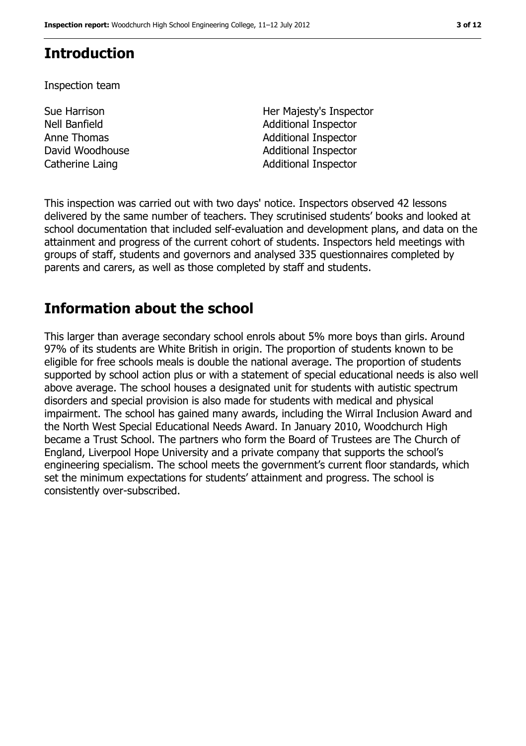## **Introduction**

Inspection team

- Sue Harrison Nell Banfield
- Her Majesty's Inspector Additional Inspector Anne Thomas **Additional Inspector** David Woodhouse **Additional Inspector** Catherine Laing **Additional Inspector**

This inspection was carried out with two days' notice. Inspectors observed 42 lessons delivered by the same number of teachers. They scrutinised students' books and looked at school documentation that included self-evaluation and development plans, and data on the attainment and progress of the current cohort of students. Inspectors held meetings with groups of staff, students and governors and analysed 335 questionnaires completed by parents and carers, as well as those completed by staff and students.

## **Information about the school**

This larger than average secondary school enrols about 5% more boys than girls. Around 97% of its students are White British in origin. The proportion of students known to be eligible for free schools meals is double the national average. The proportion of students supported by school action plus or with a statement of special educational needs is also well above average. The school houses a designated unit for students with autistic spectrum disorders and special provision is also made for students with medical and physical impairment. The school has gained many awards, including the Wirral Inclusion Award and the North West Special Educational Needs Award. In January 2010, Woodchurch High became a Trust School. The partners who form the Board of Trustees are The Church of England, Liverpool Hope University and a private company that supports the school's engineering specialism. The school meets the government's current floor standards, which set the minimum expectations for students' attainment and progress. The school is consistently over-subscribed.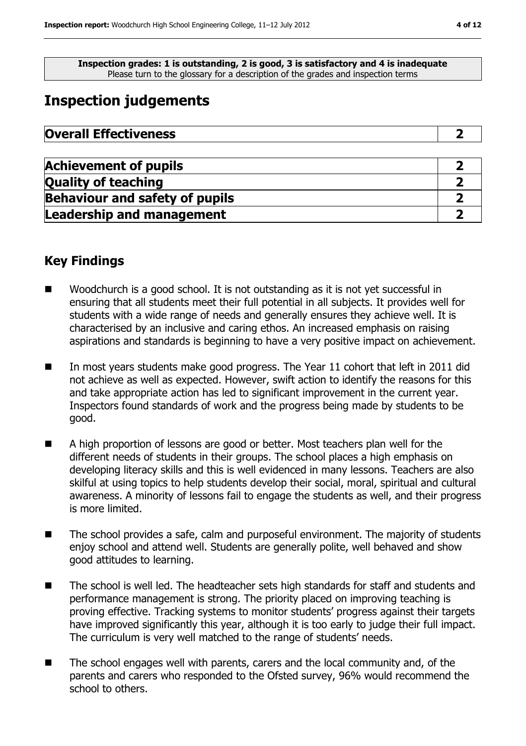**Inspection grades: 1 is outstanding, 2 is good, 3 is satisfactory and 4 is inadequate** Please turn to the glossary for a description of the grades and inspection terms

## **Inspection judgements**

| <b>Overall Effectiveness</b> |  |
|------------------------------|--|
|------------------------------|--|

| <b>Achievement of pupils</b>          |  |
|---------------------------------------|--|
| <b>Quality of teaching</b>            |  |
| <b>Behaviour and safety of pupils</b> |  |
| <b>Leadership and management</b>      |  |

## **Key Findings**

- Woodchurch is a good school. It is not outstanding as it is not vet successful in ensuring that all students meet their full potential in all subjects. It provides well for students with a wide range of needs and generally ensures they achieve well. It is characterised by an inclusive and caring ethos. An increased emphasis on raising aspirations and standards is beginning to have a very positive impact on achievement.
- In most years students make good progress. The Year 11 cohort that left in 2011 did not achieve as well as expected. However, swift action to identify the reasons for this and take appropriate action has led to significant improvement in the current year. Inspectors found standards of work and the progress being made by students to be good.
- A high proportion of lessons are good or better. Most teachers plan well for the different needs of students in their groups. The school places a high emphasis on developing literacy skills and this is well evidenced in many lessons. Teachers are also skilful at using topics to help students develop their social, moral, spiritual and cultural awareness. A minority of lessons fail to engage the students as well, and their progress is more limited.
- The school provides a safe, calm and purposeful environment. The majority of students enjoy school and attend well. Students are generally polite, well behaved and show good attitudes to learning.
- The school is well led. The headteacher sets high standards for staff and students and performance management is strong. The priority placed on improving teaching is proving effective. Tracking systems to monitor students' progress against their targets have improved significantly this year, although it is too early to judge their full impact. The curriculum is very well matched to the range of students' needs.
- The school engages well with parents, carers and the local community and, of the parents and carers who responded to the Ofsted survey, 96% would recommend the school to others.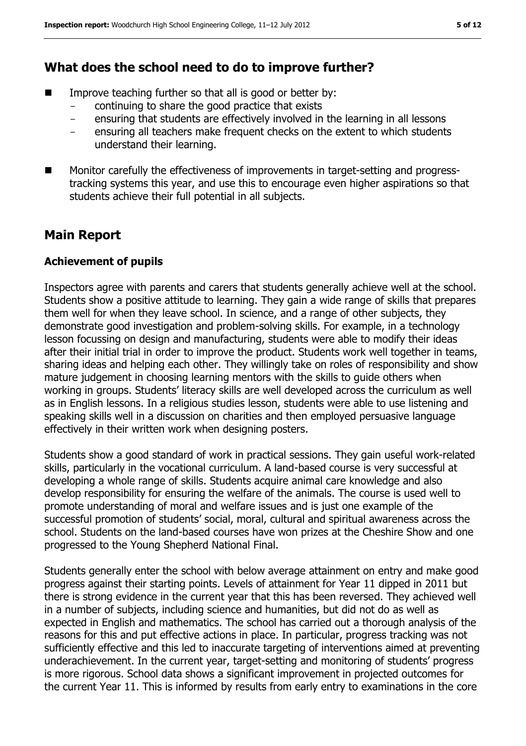#### **What does the school need to do to improve further?**

- Improve teaching further so that all is good or better by:
	- continuing to share the good practice that exists
	- ensuring that students are effectively involved in the learning in all lessons
	- ensuring all teachers make frequent checks on the extent to which students understand their learning.
- Monitor carefully the effectiveness of improvements in target-setting and progresstracking systems this year, and use this to encourage even higher aspirations so that students achieve their full potential in all subjects.

## **Main Report**

#### **Achievement of pupils**

Inspectors agree with parents and carers that students generally achieve well at the school. Students show a positive attitude to learning. They gain a wide range of skills that prepares them well for when they leave school. In science, and a range of other subjects, they demonstrate good investigation and problem-solving skills. For example, in a technology lesson focussing on design and manufacturing, students were able to modify their ideas after their initial trial in order to improve the product. Students work well together in teams, sharing ideas and helping each other. They willingly take on roles of responsibility and show mature judgement in choosing learning mentors with the skills to guide others when working in groups. Students' literacy skills are well developed across the curriculum as well as in English lessons. In a religious studies lesson, students were able to use listening and speaking skills well in a discussion on charities and then employed persuasive language effectively in their written work when designing posters.

Students show a good standard of work in practical sessions. They gain useful work-related skills, particularly in the vocational curriculum. A land-based course is very successful at developing a whole range of skills. Students acquire animal care knowledge and also develop responsibility for ensuring the welfare of the animals. The course is used well to promote understanding of moral and welfare issues and is just one example of the successful promotion of students' social, moral, cultural and spiritual awareness across the school. Students on the land-based courses have won prizes at the Cheshire Show and one progressed to the Young Shepherd National Final.

Students generally enter the school with below average attainment on entry and make good progress against their starting points. Levels of attainment for Year 11 dipped in 2011 but there is strong evidence in the current year that this has been reversed. They achieved well in a number of subjects, including science and humanities, but did not do as well as expected in English and mathematics. The school has carried out a thorough analysis of the reasons for this and put effective actions in place. In particular, progress tracking was not sufficiently effective and this led to inaccurate targeting of interventions aimed at preventing underachievement. In the current year, target-setting and monitoring of students' progress is more rigorous. School data shows a significant improvement in projected outcomes for the current Year 11. This is informed by results from early entry to examinations in the core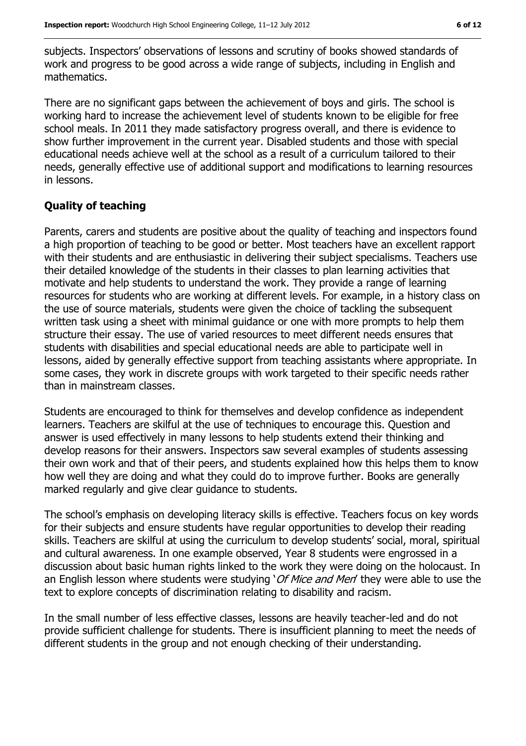subjects. Inspectors' observations of lessons and scrutiny of books showed standards of work and progress to be good across a wide range of subjects, including in English and mathematics.

There are no significant gaps between the achievement of boys and girls. The school is working hard to increase the achievement level of students known to be eligible for free school meals. In 2011 they made satisfactory progress overall, and there is evidence to show further improvement in the current year. Disabled students and those with special educational needs achieve well at the school as a result of a curriculum tailored to their needs, generally effective use of additional support and modifications to learning resources in lessons.

#### **Quality of teaching**

Parents, carers and students are positive about the quality of teaching and inspectors found a high proportion of teaching to be good or better. Most teachers have an excellent rapport with their students and are enthusiastic in delivering their subject specialisms. Teachers use their detailed knowledge of the students in their classes to plan learning activities that motivate and help students to understand the work. They provide a range of learning resources for students who are working at different levels. For example, in a history class on the use of source materials, students were given the choice of tackling the subsequent written task using a sheet with minimal guidance or one with more prompts to help them structure their essay. The use of varied resources to meet different needs ensures that students with disabilities and special educational needs are able to participate well in lessons, aided by generally effective support from teaching assistants where appropriate. In some cases, they work in discrete groups with work targeted to their specific needs rather than in mainstream classes.

Students are encouraged to think for themselves and develop confidence as independent learners. Teachers are skilful at the use of techniques to encourage this. Question and answer is used effectively in many lessons to help students extend their thinking and develop reasons for their answers. Inspectors saw several examples of students assessing their own work and that of their peers, and students explained how this helps them to know how well they are doing and what they could do to improve further. Books are generally marked regularly and give clear guidance to students.

The school's emphasis on developing literacy skills is effective. Teachers focus on key words for their subjects and ensure students have regular opportunities to develop their reading skills. Teachers are skilful at using the curriculum to develop students' social, moral, spiritual and cultural awareness. In one example observed, Year 8 students were engrossed in a discussion about basic human rights linked to the work they were doing on the holocaust. In an English lesson where students were studying '*Of Mice and Men'* they were able to use the text to explore concepts of discrimination relating to disability and racism.

In the small number of less effective classes, lessons are heavily teacher-led and do not provide sufficient challenge for students. There is insufficient planning to meet the needs of different students in the group and not enough checking of their understanding.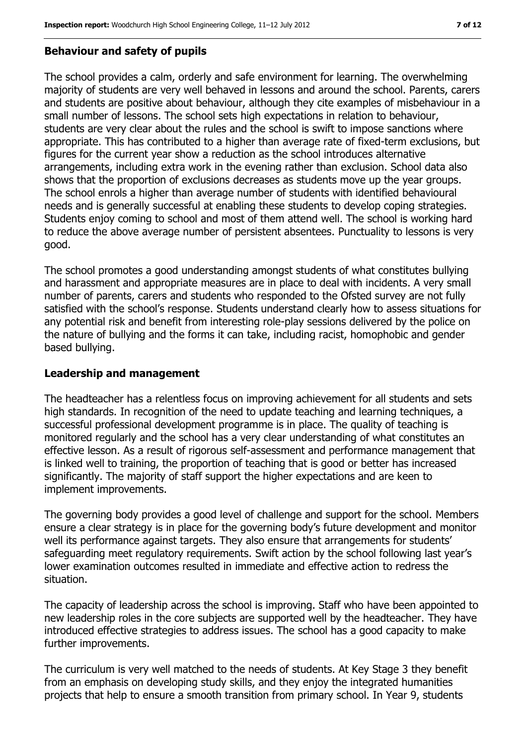#### **Behaviour and safety of pupils**

The school provides a calm, orderly and safe environment for learning. The overwhelming majority of students are very well behaved in lessons and around the school. Parents, carers and students are positive about behaviour, although they cite examples of misbehaviour in a small number of lessons. The school sets high expectations in relation to behaviour, students are very clear about the rules and the school is swift to impose sanctions where appropriate. This has contributed to a higher than average rate of fixed-term exclusions, but figures for the current year show a reduction as the school introduces alternative arrangements, including extra work in the evening rather than exclusion. School data also shows that the proportion of exclusions decreases as students move up the year groups. The school enrols a higher than average number of students with identified behavioural needs and is generally successful at enabling these students to develop coping strategies. Students enjoy coming to school and most of them attend well. The school is working hard to reduce the above average number of persistent absentees. Punctuality to lessons is very good.

The school promotes a good understanding amongst students of what constitutes bullying and harassment and appropriate measures are in place to deal with incidents. A very small number of parents, carers and students who responded to the Ofsted survey are not fully satisfied with the school's response. Students understand clearly how to assess situations for any potential risk and benefit from interesting role-play sessions delivered by the police on the nature of bullying and the forms it can take, including racist, homophobic and gender based bullying.

#### **Leadership and management**

The headteacher has a relentless focus on improving achievement for all students and sets high standards. In recognition of the need to update teaching and learning techniques, a successful professional development programme is in place. The quality of teaching is monitored regularly and the school has a very clear understanding of what constitutes an effective lesson. As a result of rigorous self-assessment and performance management that is linked well to training, the proportion of teaching that is good or better has increased significantly. The majority of staff support the higher expectations and are keen to implement improvements.

The governing body provides a good level of challenge and support for the school. Members ensure a clear strategy is in place for the governing body's future development and monitor well its performance against targets. They also ensure that arrangements for students' safeguarding meet regulatory requirements. Swift action by the school following last year's lower examination outcomes resulted in immediate and effective action to redress the situation.

The capacity of leadership across the school is improving. Staff who have been appointed to new leadership roles in the core subjects are supported well by the headteacher. They have introduced effective strategies to address issues. The school has a good capacity to make further improvements.

The curriculum is very well matched to the needs of students. At Key Stage 3 they benefit from an emphasis on developing study skills, and they enjoy the integrated humanities projects that help to ensure a smooth transition from primary school. In Year 9, students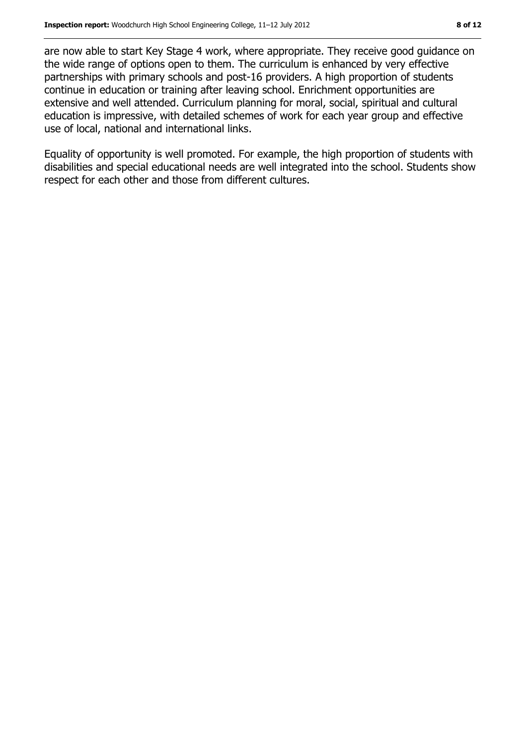are now able to start Key Stage 4 work, where appropriate. They receive good guidance on the wide range of options open to them. The curriculum is enhanced by very effective partnerships with primary schools and post-16 providers. A high proportion of students continue in education or training after leaving school. Enrichment opportunities are extensive and well attended. Curriculum planning for moral, social, spiritual and cultural education is impressive, with detailed schemes of work for each year group and effective use of local, national and international links.

Equality of opportunity is well promoted. For example, the high proportion of students with disabilities and special educational needs are well integrated into the school. Students show respect for each other and those from different cultures.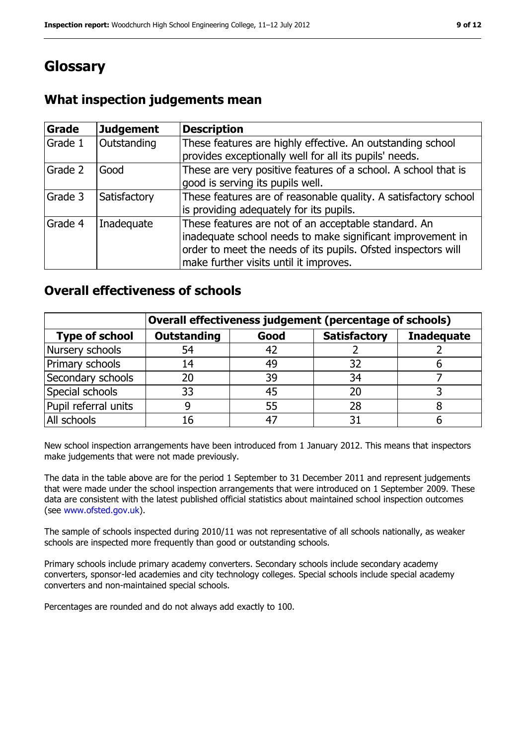# **Glossary**

## **What inspection judgements mean**

| Grade   | <b>Judgement</b> | <b>Description</b>                                                                                                                                                                                                            |
|---------|------------------|-------------------------------------------------------------------------------------------------------------------------------------------------------------------------------------------------------------------------------|
| Grade 1 | Outstanding      | These features are highly effective. An outstanding school<br>provides exceptionally well for all its pupils' needs.                                                                                                          |
| Grade 2 | Good             | These are very positive features of a school. A school that is<br>good is serving its pupils well.                                                                                                                            |
| Grade 3 | Satisfactory     | These features are of reasonable quality. A satisfactory school<br>is providing adequately for its pupils.                                                                                                                    |
| Grade 4 | Inadequate       | These features are not of an acceptable standard. An<br>inadequate school needs to make significant improvement in<br>order to meet the needs of its pupils. Ofsted inspectors will<br>make further visits until it improves. |

#### **Overall effectiveness of schools**

| Overall effectiveness judgement (percentage of schools) |                    |      |                     |                   |
|---------------------------------------------------------|--------------------|------|---------------------|-------------------|
| <b>Type of school</b>                                   | <b>Outstanding</b> | Good | <b>Satisfactory</b> | <b>Inadequate</b> |
| Nursery schools                                         | 54                 | 42   |                     |                   |
| Primary schools                                         | 14                 | 49   | 32                  |                   |
| Secondary schools                                       | 20                 | 39   | 34                  |                   |
| Special schools                                         | 33                 | 45   |                     |                   |
| Pupil referral units                                    |                    | 55   | 28                  |                   |
| All schools                                             | 16                 |      |                     |                   |

New school inspection arrangements have been introduced from 1 January 2012. This means that inspectors make judgements that were not made previously.

The data in the table above are for the period 1 September to 31 December 2011 and represent judgements that were made under the school inspection arrangements that were introduced on 1 September 2009. These data are consistent with the latest published official statistics about maintained school inspection outcomes (see [www.ofsted.gov.uk\)](../../../../../sharrison1/AppData/sharrison1/AppData/Local/Microsoft/Windows/Temporary%20Internet%20Files/Content.IE5/03WRQI06/www.ofsted.gov.uk).

The sample of schools inspected during 2010/11 was not representative of all schools nationally, as weaker schools are inspected more frequently than good or outstanding schools.

Primary schools include primary academy converters. Secondary schools include secondary academy converters, sponsor-led academies and city technology colleges. Special schools include special academy converters and non-maintained special schools.

Percentages are rounded and do not always add exactly to 100.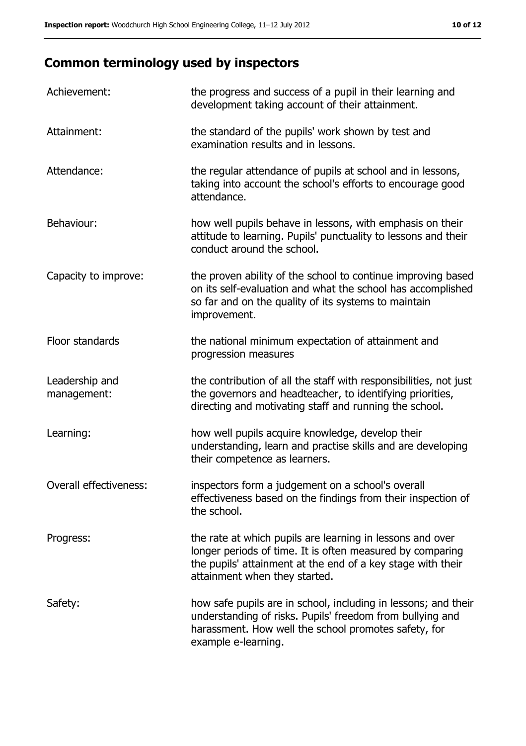# **Common terminology used by inspectors**

| Achievement:                  | the progress and success of a pupil in their learning and<br>development taking account of their attainment.                                                                                                           |
|-------------------------------|------------------------------------------------------------------------------------------------------------------------------------------------------------------------------------------------------------------------|
| Attainment:                   | the standard of the pupils' work shown by test and<br>examination results and in lessons.                                                                                                                              |
| Attendance:                   | the regular attendance of pupils at school and in lessons,<br>taking into account the school's efforts to encourage good<br>attendance.                                                                                |
| Behaviour:                    | how well pupils behave in lessons, with emphasis on their<br>attitude to learning. Pupils' punctuality to lessons and their<br>conduct around the school.                                                              |
| Capacity to improve:          | the proven ability of the school to continue improving based<br>on its self-evaluation and what the school has accomplished<br>so far and on the quality of its systems to maintain<br>improvement.                    |
| Floor standards               | the national minimum expectation of attainment and<br>progression measures                                                                                                                                             |
| Leadership and<br>management: | the contribution of all the staff with responsibilities, not just<br>the governors and headteacher, to identifying priorities,<br>directing and motivating staff and running the school.                               |
| Learning:                     | how well pupils acquire knowledge, develop their<br>understanding, learn and practise skills and are developing<br>their competence as learners.                                                                       |
| Overall effectiveness:        | inspectors form a judgement on a school's overall<br>effectiveness based on the findings from their inspection of<br>the school.                                                                                       |
| Progress:                     | the rate at which pupils are learning in lessons and over<br>longer periods of time. It is often measured by comparing<br>the pupils' attainment at the end of a key stage with their<br>attainment when they started. |
| Safety:                       | how safe pupils are in school, including in lessons; and their<br>understanding of risks. Pupils' freedom from bullying and<br>harassment. How well the school promotes safety, for<br>example e-learning.             |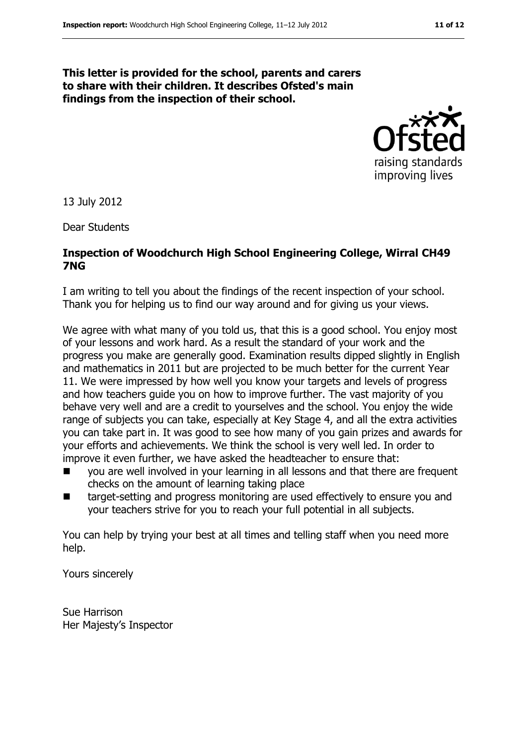#### **This letter is provided for the school, parents and carers to share with their children. It describes Ofsted's main findings from the inspection of their school.**



13 July 2012

Dear Students

#### **Inspection of Woodchurch High School Engineering College, Wirral CH49 7NG**

I am writing to tell you about the findings of the recent inspection of your school. Thank you for helping us to find our way around and for giving us your views.

We agree with what many of you told us, that this is a good school. You enjoy most of your lessons and work hard. As a result the standard of your work and the progress you make are generally good. Examination results dipped slightly in English and mathematics in 2011 but are projected to be much better for the current Year 11. We were impressed by how well you know your targets and levels of progress and how teachers guide you on how to improve further. The vast majority of you behave very well and are a credit to yourselves and the school. You enjoy the wide range of subjects you can take, especially at Key Stage 4, and all the extra activities you can take part in. It was good to see how many of you gain prizes and awards for your efforts and achievements. We think the school is very well led. In order to improve it even further, we have asked the headteacher to ensure that:

- you are well involved in your learning in all lessons and that there are frequent checks on the amount of learning taking place
- target-setting and progress monitoring are used effectively to ensure you and your teachers strive for you to reach your full potential in all subjects.

You can help by trying your best at all times and telling staff when you need more help.

Yours sincerely

Sue Harrison Her Majesty's Inspector